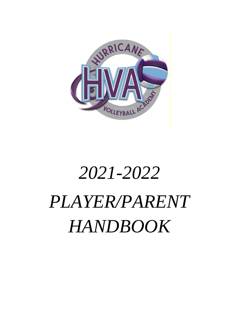

# *2021-2022 PLAYER/PARENT HANDBOOK*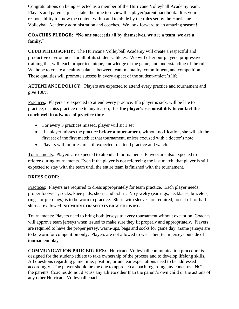Congratulations on being selected as a member of the Hurricane Volleyball Academy team. Players and parents, please take the time to review this player/parent handbook. It is your responsibility to know the content within and to abide by the rules set by the Hurricane Volleyball Academy administration and coaches. We look forward to an amazing season!

#### **COACHES PLEDGE: "No one succeeds all by themselves, we are a team, we are a family."**

**CLUB PHILOSOPHY:** The Hurricane Volleyball Academy will create a respectful and productive environment for all of its student-athletes. We will offer our players, progressive training that will teach proper technique, knowledge of the game, and understanding of the rules. We hope to create a healthy balance between team mentality, commitment, and competition. These qualities will promote success in every aspect of the student-athlete's life.

**ATTENDANCE POLICY:** Players are expected to attend every practice and tournament and give 100%

Practices: Players are expected to attend every practice. If a player is sick, will be late to practice, or miss practice due to any reason, **it is the player's responsibility to contact the coach well in advance of practice time**.

- For every 3 practices missed, player will sit 1 set
- If a player misses the practice **before a tournament,** without notification, she will sit the first set of the first match at that tournament, unless excused with a doctor's note.
- Players with injuries are still expected to attend practice and watch.

Tournaments: Players are expected to attend all tournaments. Players are also expected to referee during tournaments. Even if the player is not refereeing the last match, that player is still expected to stay with the team until the entire team is finished with the tournament.

#### **DRESS CODE:**

Practices**:** Players are required to dress appropriately for team practice. Each player needs proper footwear, socks, knee pads, shorts and t-shirt. No jewelry (earrings, necklaces, bracelets, rings, or piercings) is to be worn to practice. Shirts with sleeves are required, no cut off or half shirts are allowed. **NO MIDRIF OR SPORTS BRAS SHOWING**

Tournaments: Players need to bring both jerseys to every tournament without exception. Coaches will approve team jerseys when issued to make sure they fit properly and appropriately. Players are required to have the proper jersey, warm-ups, bags and socks for game day. Game jerseys are to be worn for competition only. Players are not allowed to wear their team jerseys outside of tournament play.

**COMMUNICATION PROCEDURES:** Hurricane Volleyball communication procedure is designed for the student-athlete to take ownership of the process and to develop lifelong skills. All questions regarding game time, position, or unclear expectations need to be addressed accordingly. The player should be the one to approach a coach regarding any concerns...NOT the parents. Coaches do not discuss any athlete other than the parent's own child or the actions of any other Hurricane Volleyball coach.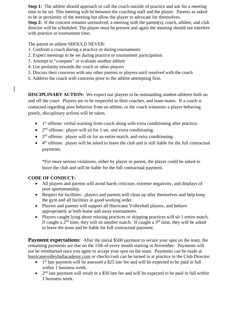**Step 1:** The athlete should approach or call the coach outside of practice and ask for a meeting time to be set. This meeting will be between the coaching staff and the player. Parents as asked to be in proximity of the meeting but allow the player to advocate for themselves.

**Step 2:** If the concern remains unresolved, a meeting with the parent(s), coach, athlete, and club director will be scheduled. The player must be present and again the meeting should not interfere with practice or tournament time.

The parent or athlete SHOULD NEVER:

- 1. Confront a coach during a practice or during tournaments
- 2. Expect meetings to be set during practice or tournament participation
- 3. Attempt to "compare" or evaluate another athlete
- 4. Use profanity towards the coach or other players
- 5. Discuss their concerns with any other parents or players until resolved with the coach
- 6. Address the coach with concerns prior to the athlete attempting first.

**DISCIPLINARY ACTION:** We expect our players to be outstanding student-athletes both on and off the court. Players are to be respectful to their coaches, and team mates. If a coach is contacted regarding poor behavior from an athlete, or the coach witnesses a player behaving poorly, disciplinary actions will be taken.

- $\bullet$  1<sup>st</sup> offense: verbal warning from coach along with extra conditioning after practice.
- $\bullet$  2<sup>nd</sup> offense: player will sit for 1 set, and extra conditioning.
- $\bullet$  3<sup>rd</sup> offense: player will sit for an entire match, and extra conditioning.
- $\bullet$  4<sup>th</sup> offense: player will be asked to leave the club and is still liable for the full contractual payments.

\*For more serious violations, either by player or parent, the player could be asked to leave the club and still be liable for the full contractual payment.

#### **CODE OF CONDUCT:**

- All players and parents will avoid harsh criticism, extreme negativity, and displays of poor sportsmanship.
- Respect for facilities: players and parents will clean up after themselves and help keep the gym and all facilities in good working order.
- Players and parents will support all Hurricane Volleyball players, and behave appropriately at both home and away tournaments.
- Players caught lying about missing practices or skipping practices will sit 1 entire match. If caught a  $2<sup>nd</sup>$  time, they will sit another match. If caught a  $3<sup>rd</sup>$  time, they will be asked to leave the team and be liable for full contractual payment.

**Payment expectations:** After the initial \$500 payment to secure your spot on the team, the remaining payments are due on the 15th of every month starting in November. Payments will not be reimbursed once you agree to accept your spot on the team. Payments can be made at hurricanevolleyballacademy.com or checks/cash can be turned in at practice to the Club Director.

- $\bullet$  1<sup>st</sup> late payment will be assessed a \$25 late fee and will be expected to be paid in full within 1 business week.
- $\bullet$  2<sup>nd</sup> late payment will result in a \$50 late fee and will be expected to be paid in full within 1 business week.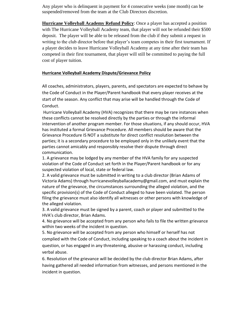Any player who is delinquent in payment for 4 consecutive weeks (one month) can be suspended/removed from the team at the Club Directors discretion.

**Hurricane Volleyball Academy Refund Policy**: Once a player has accepted a position with The Hurricane Volleyball Academy team, that player will not be refunded their \$500 deposit. The player will be able to be released from the club if they submit a request in writing to the club director before that player's team competes in their first tournament. If a player decides to leave Hurricane Volleyball Academy at any time after their team has competed in their first tournament, that player will still be committed to paying the full cost of player tuition.

#### **Hurricane Volleyball Academy Dispute/Grievance Policy**

All coaches, administrators, players, parents, and spectators are expected to behave by the Code of Conduct in the Player/Parent handbook that every player receives at the start of the season. Any conflict that may arise will be handled through the Code of Conduct.

Hurricane Volleyball Academy (HVA) recognizes that there may be rare instances when these conflicts cannot be resolved directly by the parties or through the informal intervention of another program member. For those situations, if any should occur, HVA has instituted a formal Grievance Procedure. All members should be aware that the Grievance Procedure IS NOT a substitute for direct conflict resolution between the parties; it is a secondary procedure to be employed only in the unlikely event that the parties cannot amicably and responsibly resolve their dispute through direct communication.

1. A grievance may be lodged by any member of the HVA family for any suspected violation of the Code of Conduct set forth in the Player/Parent handbook or for any suspected violation of local, state or federal law.

2. A valid grievance must be submitted in writing to a club director (Brian Adams of Victoria Adams) through hurricanevolleyballacademy@gmail.com, and must explain the nature of the grievance, the circumstances surrounding the alleged violation, and the specific provision(s) of the Code of Conduct alleged to have been violated. The person filing the grievance must also identify all witnesses or other persons with knowledge of the alleged violation.

3. A valid grievance must be signed by a parent, coach or player and submitted to the HVA's club director, Brian Adams.

4. No grievance will be accepted from any person who fails to file the written grievance within two weeks of the incident in question.

5. No grievance will be accepted from any person who himself or herself has not complied with the Code of Conduct, including speaking to a coach about the incident in question, or has engaged in any threatening, abusive or harassing conduct, including verbal abuse.

6. Resolution of the grievance will be decided by the club director Brian Adams, after having gathered all needed information from witnesses, and persons mentioned in the incident in question.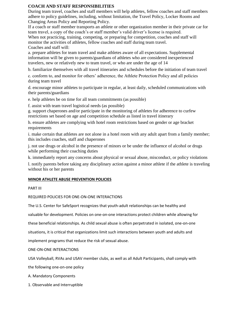#### **COACH AND STAFF RESPONSIBILITIES**

During team travel, coaches and staff members will help athletes, fellow coaches and staff members adhere to policy guidelines, including, without limitation, the Travel Policy, Locker Rooms and Changing Areas Policy and Reporting Policy.

If a coach or staff member transports an athlete or other organization member in their private car for team travel, a copy of the coach's or staff member's valid driver's license is required. When not practicing, training, competing, or preparing for competition, coaches and staff will monitor the activities of athletes, fellow coaches and staff during team travel. Coaches and staff will:

a. prepare athletes for team travel and make athletes aware of all expectations. Supplemental information will be given to parents/guardians of athletes who are considered inexperienced travelers, new or relatively new to team travel, or who are under the age of 14

b. familiarize themselves with all travel itineraries and schedules before the initiation of team travel

c. conform to, and monitor for others' adherence, the Athlete Protection Policy and all policies during team travel

d. encourage minor athletes to participate in regular, at least daily, scheduled communications with their parents/guardians

e. help athletes be on time for all team commitments (as possible)

f. assist with team travel logistical needs (as possible)

g. support chaperones and/or participate in the monitoring of athletes for adherence to curfew restrictions set based on age and competition schedule as listed in travel itinerary

h. ensure athletes are complying with hotel room restrictions based on gender or age bracket requirements

i. make certain that athletes are not alone in a hotel room with any adult apart from a family member; this includes coaches, staff and chaperones

j. not use drugs or alcohol in the presence of minors or be under the influence of alcohol or drugs while performing their coaching duties

k. immediately report any concerns about physical or sexual abuse, misconduct, or policy violations

l. notify parents before taking any disciplinary action against a minor athlete if the athlete is traveling without his or her parents

#### **MINOR ATHLETE ABUSE PREVENTION POLICIES**

PART III

#### REQUIRED POLICIES FOR ONE-ON-ONE INTERACTIONS

The U.S. Center for SafeSport recognizes that youth-adult relationships can be healthy and

valuable for development. Policies on one-on-one interactions protect children while allowing for

these beneficial relationships. As child sexual abuse is often perpetrated in isolated, one-on-one

situations, it is critical that organizations limit such interactions between youth and adults and

implement programs that reduce the risk of sexual abuse.

#### ONE-ON-ONE INTERACTIONS

USA Volleyball, RVAs and USAV member clubs, as well as all Adult Participants, shall comply with

the following one-on-one policy

A. Mandatory Components

1. Observable and Interruptible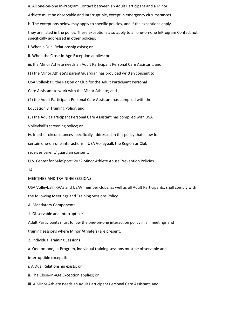a. All one-on-one In-Program Contact between an Adult Participant and a Minor

Athlete must be observable and interruptible, except in emergency circumstances.

b. The exceptions below may apply to specific policies, and if the exceptions apply,

they are listed in the policy. These exceptions also apply to all one-on-one InProgram Contact not specifically addressed in other policies:

i. When a Dual Relationship exists; or

ii. When the Close-in-Age Exception applies; or

iii. If a Minor Athlete needs an Adult Participant Personal Care Assistant, and:

(1) the Minor Athlete's parent/guardian has provided written consent to

USA Volleyball, the Region or Club for the Adult Participant Personal

Care Assistant to work with the Minor Athlete; and

(2) the Adult Participant Personal Care Assistant has complied with the

Education & Training Policy; and

(3) the Adult Participant Personal Care Assistant has complied with USA

Volleyball's screening policy; or

iv. In other circumstances specifically addressed in this policy that allow for

certain one-on-one interactions if USA Volleyball, the Region or Club

receives parent/ guardian consent.

U.S. Center for SafeSport: 2022 Minor Athlete Abuse Prevention Policies

14

MEETINGS AND TRAINING SESSIONS

USA Volleyball, RVAs and USAV member clubs, as well as all Adult Participants, shall comply with

the following Meetings and Training Sessions Policy

A. Mandatory Components

1. Observable and Interruptible

Adult Participants must follow the one-on-one interaction policy in all meetings and

training sessions where Minor Athlete(s) are present.

2. Individual Training Sessions

a. One-on-one, In-Program, individual training sessions must be observable and

interruptible except if:

i. A Dual Relationship exists; or

ii. The Close-in-Age Exception applies; or

iii. A Minor Athlete needs an Adult Participant Personal Care Assistant, and: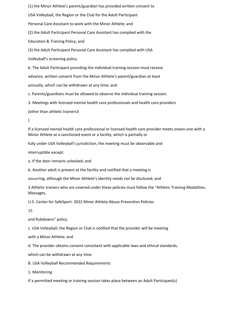(1) the Minor Athlete's parent/guardian has provided written consent to USA Volleyball, the Region or the Club for the Adult Participant Personal Care Assistant to work with the Minor Athlete; and (2) the Adult Participant Personal Care Assistant has complied with the Education & Training Policy; and (3) the Adult Participant Personal Care Assistant has complied with USA Volleyball's screening policy. b. The Adult Participant providing the individual training session must receive advance, written consent from the Minor Athlete's parent/guardian at least

annually, which can be withdrawn at any time; and

c. Parents/guardians must be allowed to observe the individual training session.

3. Meetings with licensed mental health care professionals and health care providers

(other than athletic trainers3

 $\lambda$ 

If a licensed mental health care professional or licensed health care provider meets oneon-one with a Minor Athlete at a sanctioned event or a facility, which is partially or

fully under USA Volleyball's jurisdiction, the meeting must be observable and

interruptible except:

a. If the door remains unlocked; and

b. Another adult is present at the facility and notified that a meeting is

occurring, although the Minor Athlete's identity needs not be disclosed; and

3 Athletic trainers who are covered under these policies must follow the "Athletic Training Modalities, Massages,

U.S. Center for SafeSport: 2022 Minor Athlete Abuse Prevention Policies

15

and Rubdowns" policy.

c. USA Volleyball, the Region or Club is notified that the provider will be meeting

with a Minor Athlete; and

d. The provider obtains consent consistent with applicable laws and ethical standards,

which can be withdrawn at any time.

B. USA Volleyball Recommended Requirements

1. Monitoring

If a permitted meeting or training session takes place between an Adult Participant(s)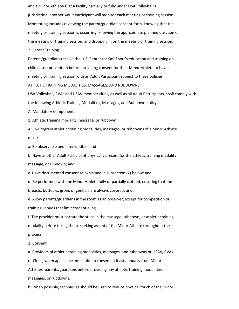and a Minor Athlete(s) at a facility partially or fully under USA Volleyball's jurisdiction, another Adult Participant will monitor each meeting or training session. Monitoring includes reviewing the parent/guardian consent form, knowing that the meeting or training session is occurring, knowing the approximate planned duration of the meeting or training session, and dropping in on the meeting or training session.

2. Parent Training

Parents/guardians receive the U.S. Center for SafeSport's education and training on child abuse prevention before providing consent for their Minor Athlete to have a meeting or training session with an Adult Participant subject to these policies.

ATHLETIC TRAINING MODALITIES, MASSAGES, AND RUBDOWNS

USA Volleyball, RVAs and USAV member clubs, as well as all Adult Participants, shall comply with the following Athletic Training Modalities, Massages, and Rubdown policy

A. Mandatory Components

1. Athletic training modality, massage, or rubdown

All In-Program athletic training modalities, massages, or rubdowns of a Minor Athlete must:

a. Be observable and interruptible; and

b. Have another Adult Participant physically present for the athletic training modality,

massage, or rubdown; and

c. Have documented consent as explained in subsection (2) below; and

d. Be performed with the Minor Athlete fully or partially clothed, ensuring that the breasts, buttocks, groin, or genitals are always covered; and

e. Allow parents/guardians in the room as an observer, except for competition or

training venues that limit credentialing.

f. The provider must narrate the steps in the massage, rubdown, or athletic training modality before taking them, seeking assent of the Minor Athlete throughout the process.

2. Consent

a. Providers of athletic training modalities, massages, and rubdowns or USAV, RVAs or Clubs, when applicable, must obtain consent at least annually from Minor Athletes' parents/guardians before providing any athletic training modalities, massages, or rubdowns.

b. When possible, techniques should be used to reduce physical touch of the Minor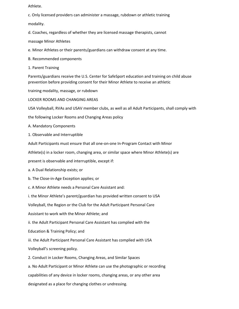Athlete.

c. Only licensed providers can administer a massage, rubdown or athletic training modality.

d. Coaches, regardless of whether they are licensed massage therapists, cannot

massage Minor Athletes

e. Minor Athletes or their parents/guardians can withdraw consent at any time.

B. Recommended components

1. Parent Training

Parents/guardians receive the U.S. Center for SafeSport education and training on child abuse prevention before providing consent for their Minor Athlete to receive an athletic

training modality, massage, or rubdown

LOCKER ROOMS AND CHANGING AREAS

USA Volleyball, RVAs and USAV member clubs, as well as all Adult Participants, shall comply with

the following Locker Rooms and Changing Areas policy

A. Mandatory Components

1. Observable and Interruptible

Adult Participants must ensure that all one-on-one In-Program Contact with Minor

Athlete(s) in a locker room, changing area, or similar space where Minor Athlete(s) are

present is observable and interruptible, except if:

a. A Dual Relationship exists; or

b. The Close-in-Age Exception applies; or

c. A Minor Athlete needs a Personal Care Assistant and:

i. the Minor Athlete's parent/guardian has provided written consent to USA

Volleyball, the Region or the Club for the Adult Participant Personal Care

Assistant to work with the Minor Athlete; and

ii. the Adult Participant Personal Care Assistant has complied with the

Education & Training Policy; and

iii. the Adult Participant Personal Care Assistant has complied with USA

Volleyball's screening policy.

2. Conduct in Locker Rooms, Changing Areas, and Similar Spaces

a. No Adult Participant or Minor Athlete can use the photographic or recording capabilities of any device in locker rooms, changing areas, or any other area designated as a place for changing clothes or undressing.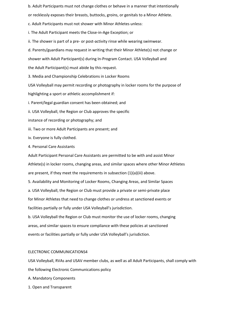b. Adult Participants must not change clothes or behave in a manner that intentionally

or recklessly exposes their breasts, buttocks, groins, or genitals to a Minor Athlete.

c. Adult Participants must not shower with Minor Athletes unless:

i. The Adult Participant meets the Close-in-Age Exception; or

ii. The shower is part of a pre- or post-activity rinse while wearing swimwear.

d. Parents/guardians may request in writing that their Minor Athlete(s) not change or

shower with Adult Participant(s) during In-Program Contact. USA Volleyball and

the Adult Participant(s) must abide by this request.

3. Media and Championship Celebrations in Locker Rooms

USA Volleyball may permit recording or photography in locker rooms for the purpose of

highlighting a sport or athletic accomplishment if:

i. Parent/legal guardian consent has been obtained; and

ii. USA Volleyball, the Region or Club approves the specific

instance of recording or photography; and

iii. Two or more Adult Participants are present; and

iv. Everyone is fully clothed.

4. Personal Care Assistants

Adult Participant Personal Care Assistants are permitted to be with and assist Minor Athlete(s) in locker rooms, changing areas, and similar spaces where other Minor Athletes are present, if they meet the requirements in subsection (1)(a)(iii) above.

5. Availability and Monitoring of Locker Rooms, Changing Areas, and Similar Spaces

a. USA Volleyball, the Region or Club must provide a private or semi-private place

for Minor Athletes that need to change clothes or undress at sanctioned events or

facilities partially or fully under USA Volleyball's jurisdiction.

b. USA Volleyball the Region or Club must monitor the use of locker rooms, changing areas, and similar spaces to ensure compliance with these policies at sanctioned events or facilities partially or fully under USA Volleyball's jurisdiction.

#### ELECTRONIC COMMUNICATIONS4

USA Volleyball, RVAs and USAV member clubs, as well as all Adult Participants, shall comply with the following Electronic Communications policy

A. Mandatory Components

1. Open and Transparent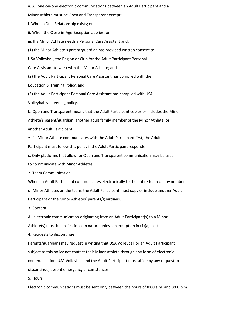a. All one-on-one electronic communications between an Adult Participant and a

Minor Athlete must be Open and Transparent except:

i. When a Dual Relationship exists; or

ii. When the Close-in-Age Exception applies; or

iii. If a Minor Athlete needs a Personal Care Assistant and:

(1) the Minor Athlete's parent/guardian has provided written consent to

USA Volleyball, the Region or Club for the Adult Participant Personal

Care Assistant to work with the Minor Athlete; and

(2) the Adult Participant Personal Care Assistant has complied with the

Education & Training Policy; and

(3) the Adult Participant Personal Care Assistant has complied with USA

Volleyball's screening policy.

b. Open and Transparent means that the Adult Participant copies or includes the Minor Athlete's parent/guardian, another adult family member of the Minor Athlete, or another Adult Participant.

• If a Minor Athlete communicates with the Adult Participant first, the Adult Participant must follow this policy if the Adult Participant responds.

c. Only platforms that allow for Open and Transparent communication may be used to communicate with Minor Athletes.

2. Team Communication

When an Adult Participant communicates electronically to the entire team or any number of Minor Athletes on the team, the Adult Participant must copy or include another Adult Participant or the Minor Athletes' parents/guardians.

3. Content

All electronic communication originating from an Adult Participant(s) to a Minor Athlete(s) must be professional in nature unless an exception in (1)(a) exists.

4. Requests to discontinue

Parents/guardians may request in writing that USA Volleyball or an Adult Participant subject to this policy not contact their Minor Athlete through any form of electronic communication. USA Volleyball and the Adult Participant must abide by any request to discontinue, absent emergency circumstances.

5. Hours

Electronic communications must be sent only between the hours of 8:00 a.m. and 8:00 p.m.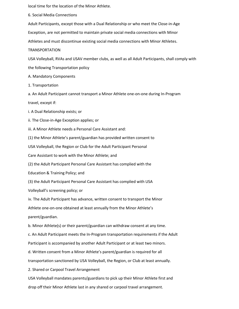local time for the location of the Minor Athlete.

6. Social Media Connections

Adult Participants, except those with a Dual Relationship or who meet the Close-in-Age

Exception, are not permitted to maintain private social media connections with Minor

Athletes and must discontinue existing social media connections with Minor Athletes.

TRANSPORTATION

USA Volleyball, RVAs and USAV member clubs, as well as all Adult Participants, shall comply with

the following Transportation policy

A. Mandatory Components

1. Transportation

a. An Adult Participant cannot transport a Minor Athlete one-on-one during In-Program

travel, except if:

i. A Dual Relationship exists; or

ii. The Close-in-Age Exception applies; or

iii. A Minor Athlete needs a Personal Care Assistant and:

(1) the Minor Athlete's parent/guardian has provided written consent to

USA Volleyball, the Region or Club for the Adult Participant Personal

Care Assistant to work with the Minor Athlete; and

(2) the Adult Participant Personal Care Assistant has complied with the

Education & Training Policy; and

(3) the Adult Participant Personal Care Assistant has complied with USA

Volleyball's screening policy; or

iv. The Adult Participant has advance, written consent to transport the Minor

Athlete one-on-one obtained at least annually from the Minor Athlete's

parent/guardian.

b. Minor Athlete(s) or their parent/guardian can withdraw consent at any time.

c. An Adult Participant meets the In-Program transportation requirements if the Adult

Participant is accompanied by another Adult Participant or at least two minors.

d. Written consent from a Minor Athlete's parent/guardian is required for all

transportation sanctioned by USA Volleyball, the Region, or Club at least annually.

2. Shared or Carpool Travel Arrangement

USA Volleyball mandates parents/guardians to pick up their Minor Athlete first and drop off their Minor Athlete last in any shared or carpool travel arrangement.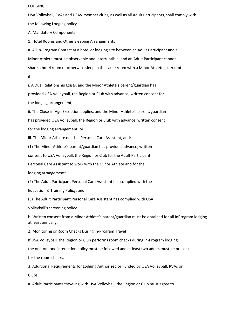#### LODGING

USA Volleyball, RVAs and USAV member clubs, as well as all Adult Participants, shall comply with the following Lodging policy

A. Mandatory Components

1. Hotel Rooms and Other Sleeping Arrangements

a. All In-Program Contact at a hotel or lodging site between an Adult Participant and a Minor Athlete must be observable and interruptible, and an Adult Participant cannot share a hotel room or otherwise sleep in the same room with a Minor Athlete(s), except if:

i. A Dual Relationship Exists, and the Minor Athlete's parent/guardian has provided USA Volleyball, the Region or Club with advance, written consent for the lodging arrangement;

ii. The Close-in-Age Exception applies, and the Minor Athlete's parent/guardian

has provided USA Volleyball, the Region or Club with advance, written consent

for the lodging arrangement; or

iii. The Minor Athlete needs a Personal Care Assistant, and:

(1) The Minor Athlete's parent/guardian has provided advance, written

consent to USA Volleyball, the Region or Club for the Adult Participant

Personal Care Assistant to work with the Minor Athlete and for the

lodging arrangement;

(2) The Adult Participant Personal Care Assistant has complied with the

Education & Training Policy; and

(3) The Adult Participant Personal Care Assistant has complied with USA

Volleyball's screening policy.

b. Written consent from a Minor Athlete's parent/guardian must be obtained for all InProgram lodging at least annually.

2. Monitoring or Room Checks During In-Program Travel

If USA Volleyball, the Region or Club performs room checks during In-Program lodging,

the one-on- one interaction policy must be followed and at least two adults must be present

for the room checks.

3. Additional Requirements for Lodging Authorized or Funded by USA Volleyball, RVAs or Clubs.

a. Adult Participants traveling with USA Volleyball, the Region or Club must agree to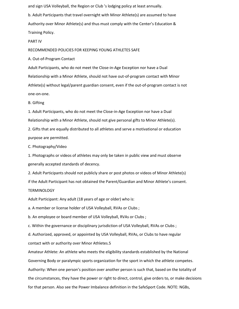and sign USA Volleyball, the Region or Club 's lodging policy at least annually.

b. Adult Participants that travel overnight with Minor Athlete(s) are assumed to have Authority over Minor Athlete(s) and thus must comply with the Center's Education & Training Policy.

PART IV

RECOMMENDED POLICIES FOR KEEPING YOUNG ATHLETES SAFE

A. Out-of-Program Contact

Adult Participants, who do not meet the Close-in-Age Exception nor have a Dual Relationship with a Minor Athlete, should not have out-of-program contact with Minor Athlete(s) without legal/parent guardian consent, even if the out-of-program contact is not one-on-one.

B. Gifting

1. Adult Participants, who do not meet the Close-in-Age Exception nor have a Dual Relationship with a Minor Athlete, should not give personal gifts to Minor Athlete(s).

2. Gifts that are equally distributed to all athletes and serve a motivational or education purpose are permitted.

C. Photography/Video

1. Photographs or videos of athletes may only be taken in public view and must observe generally accepted standards of decency.

2. Adult Participants should not publicly share or post photos or videos of Minor Athlete(s) if the Adult Participant has not obtained the Parent/Guardian and Minor Athlete's consent. TERMINOLOGY

Adult Participant: Any adult (18 years of age or older) who is:

a. A member or license holder of USA Volleyball, RVAs or Clubs ;

b. An employee or board member of USA Volleyball, RVAs or Clubs ;

c. Within the governance or disciplinary jurisdiction of USA Volleyball, RVAs or Clubs ;

d. Authorized, approved, or appointed by USA Volleyball, RVAs, or Clubs to have regular contact with or authority over Minor Athletes.5

Amateur Athlete: An athlete who meets the eligibility standards established by the National Governing Body or paralympic sports organization for the sport in which the athlete competes. Authority: When one person's position over another person is such that, based on the totality of the circumstances, they have the power or right to direct, control, give orders to, or make decisions for that person. Also see the Power Imbalance definition in the SafeSport Code. NOTE: NGBs,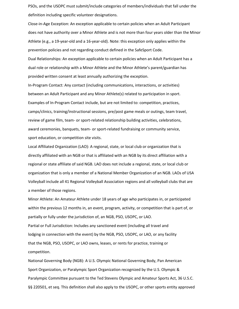PSOs, and the USOPC must submit/include categories of members/individuals that fall under the definition including specific volunteer designations.

Close-in-Age Exception: An exception applicable to certain policies when an Adult Participant does not have authority over a Minor Athlete and is not more than four years older than the Minor Athlete (e.g., a 19-year-old and a 16-year-old). Note: this exception only applies within the prevention policies and not regarding conduct defined in the SafeSport Code. Dual Relationships: An exception applicable to certain policies when an Adult Participant has a dual role or relationship with a Minor Athlete and the Minor Athlete's parent/guardian has provided written consent at least annually authorizing the exception.

In-Program Contact: Any contact (including communications, interactions, or activities) between an Adult Participant and any Minor Athlete(s) related to participation in sport. Examples of In-Program Contact include, but are not limited to: competition, practices, camps/clinics, training/instructional sessions, pre/post game meals or outings, team travel, review of game film, team- or sport-related relationship building activities, celebrations, award ceremonies, banquets, team- or sport-related fundraising or community service, sport education, or competition site visits.

Local Affiliated Organization (LAO): A regional, state, or local club or organization that is directly affiliated with an NGB or that is affiliated with an NGB by its direct affiliation with a regional or state affiliate of said NGB. LAO does not include a regional, state, or local club or organization that is only a member of a National Member Organization of an NGB. LAOs of USA Volleyball include all 41 Regional Volleyball Association regions and all volleyball clubs that are a member of those regions.

Minor Athlete: An Amateur Athlete under 18 years of age who participates in, or participated within the previous 12 months in, an event, program, activity, or competition that is part of, or partially or fully under the jurisdiction of, an NGB, PSO, USOPC, or LAO. Partial or Full Jurisdiction: Includes any sanctioned event (including all travel and lodging in connection with the event) by the NGB, PSO, USOPC, or LAO, or any facility that the NGB, PSO, USOPC, or LAO owns, leases, or rents for practice, training or competition.

National Governing Body (NGB): A U.S. Olympic National Governing Body, Pan American Sport Organization, or Paralympic Sport Organization recognized by the U.S. Olympic & Paralympic Committee pursuant to the Ted Stevens Olympic and Amateur Sports Act, 36 U.S.C. §§ 220501, et seq. This definition shall also apply to the USOPC, or other sports entity approved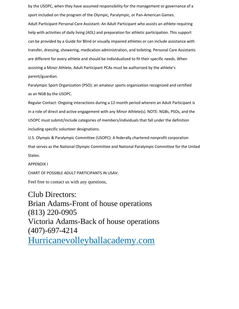by the USOPC, when they have assumed responsibility for the management or governance of a sport included on the program of the Olympic, Paralympic, or Pan-American Games. Adult Participant Personal Care Assistant: An Adult Participant who assists an athlete requiring help with activities of daily living (ADL) and preparation for athletic participation. This support can be provided by a Guide for Blind or visually impaired athletes or can include assistance with transfer, dressing, showering, medication administration, and toileting. Personal Care Assistants are different for every athlete and should be individualized to fit their specific needs. When assisting a Minor Athlete, Adult Participant PCAs must be authorized by the athlete's parent/guardian.

Paralympic Sport Organization (PSO): an amateur sports organization recognized and certified as an NGB by the USOPC.

Regular Contact: Ongoing interactions during a 12-month period wherein an Adult Participant is in a role of direct and active engagement with any Minor Athlete(s). NOTE: NGBs, PSOs, and the USOPC must submit/include categories of members/individuals that fall under the definition including specific volunteer designations.

U.S. Olympic & Paralympic Committee (USOPC): A federally chartered nonprofit corporation that serves as the National Olympic Committee and National Paralympic Committee for the United States.

APPENDIX I

CHART OF POSSIBLE ADULT PARTICIPANTS IN USAV:

Feel free to contact us with any questions,

Club Directors: Brian Adams-Front of house operations (813) 220-0905 Victoria Adams-Back of house operations (407)-697-4214 Hurricanevolleyballacademy.com